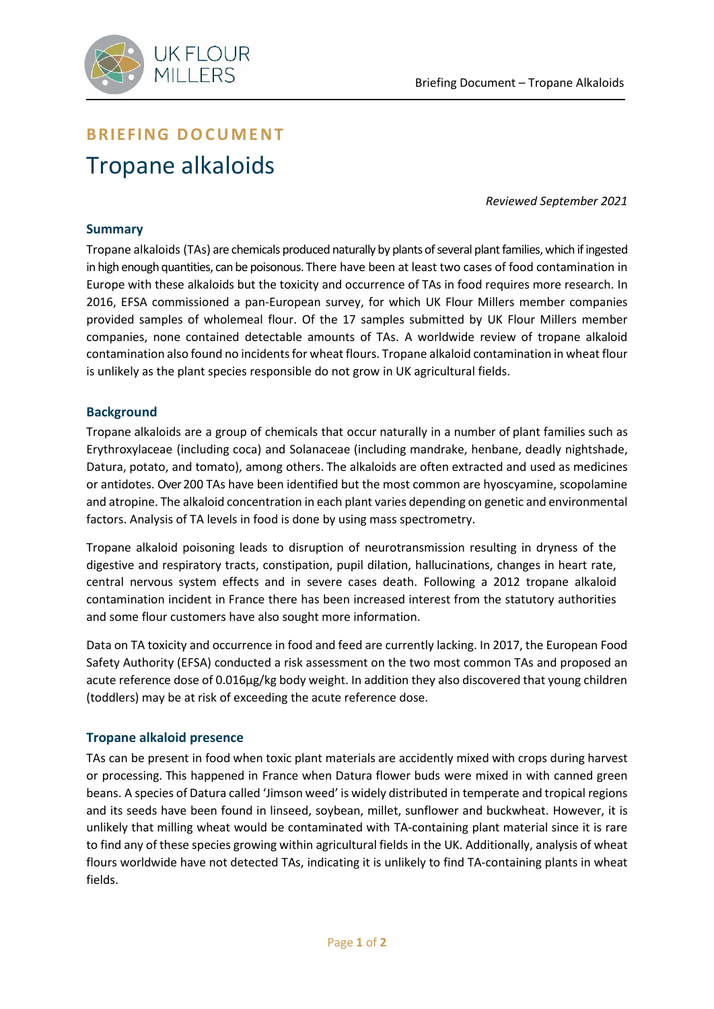

# **BRIEFING DOCUMENT** Tropane alkaloids

*Reviewed September 2021*

## **Summary**

Tropane alkaloids (TAs) are chemicals produced naturally by plants of several plant families, which if ingested in high enough quantities, can be poisonous. There have been at least two cases of food contamination in Europe with these alkaloids but the toxicity and occurrence of TAs in food requires more research. In 2016, EFSA commissioned a pan-European survey, for which UK Flour Millers member companies provided samples of wholemeal flour. Of the 17 samples submitted by UK Flour Millers member companies, none contained detectable amounts of TAs. A worldwide review of tropane alkaloid contamination also found no incidents for wheat flours. Tropane alkaloid contamination in wheat flour is unlikely as the plant species responsible do not grow in UK agricultural fields.

## **Background**

Tropane alkaloids are a group of chemicals that occur naturally in a number of plant families such as Erythroxylaceae (including coca) and Solanaceae (including mandrake, henbane, deadly nightshade, Datura, potato, and tomato), among others. The alkaloids are often extracted and used as medicines or antidotes. Over 200 TAs have been identified but the most common are hyoscyamine, scopolamine and atropine. The alkaloid concentration in each plant varies depending on genetic and environmental factors. Analysis of TA levels in food is done by using mass spectrometry.

Tropane alkaloid poisoning leads to disruption of neurotransmission resulting in dryness of the digestive and respiratory tracts, constipation, pupil dilation, hallucinations, changes in heart rate, central nervous system effects and in severe cases death. Following a 2012 tropane alkaloid contamination incident in France there has been increased interest from the statutory authorities and some flour customers have also sought more information.

Data on TA toxicity and occurrence in food and feed are currently lacking. In 2017, the European Food Safety Authority (EFSA) conducted a risk assessment on the two most common TAs and proposed an acute reference dose of 0.016µg/kg body weight. In addition they also discovered that young children (toddlers) may be at risk of exceeding the acute reference dose.

## **Tropane alkaloid presence**

TAs can be present in food when toxic plant materials are accidently mixed with crops during harvest or processing. This happened in France when Datura flower buds were mixed in with canned green beans. A species of Datura called 'Jimson weed' is widely distributed in temperate and tropical regions and its seeds have been found in linseed, soybean, millet, sunflower and buckwheat. However, it is unlikely that milling wheat would be contaminated with TA-containing plant material since it is rare to find any of these species growing within agricultural fields in the UK. Additionally, analysis of wheat flours worldwide have not detected TAs, indicating it is unlikely to find TA-containing plants in wheat fields.